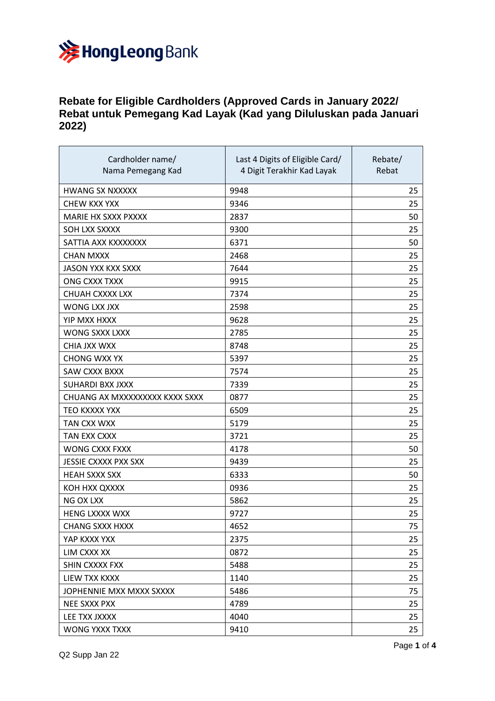

## **Rebate for Eligible Cardholders (Approved Cards in January 2022/ Rebat untuk Pemegang Kad Layak (Kad yang Diluluskan pada Januari 2022)**

| Cardholder name/<br>Nama Pemegang Kad | Last 4 Digits of Eligible Card/<br>4 Digit Terakhir Kad Layak | Rebate/<br>Rebat |
|---------------------------------------|---------------------------------------------------------------|------------------|
| <b>HWANG SX NXXXXX</b>                | 9948                                                          | 25               |
| CHEW KXX YXX                          | 9346                                                          | 25               |
| MARIE HX SXXX PXXXX                   | 2837                                                          | 50               |
| SOH LXX SXXXX                         | 9300                                                          | 25               |
| SATTIA AXX KXXXXXXX                   | 6371                                                          | 50               |
| <b>CHAN MXXX</b>                      | 2468                                                          | 25               |
| <b>JASON YXX KXX SXXX</b>             | 7644                                                          | 25               |
| ONG CXXX TXXX                         | 9915                                                          | 25               |
| CHUAH CXXXX LXX                       | 7374                                                          | 25               |
| <b>WONG LXX JXX</b>                   | 2598                                                          | 25               |
| <b>YIP MXX HXXX</b>                   | 9628                                                          | 25               |
| WONG SXXX LXXX                        | 2785                                                          | 25               |
| CHIA JXX WXX                          | 8748                                                          | 25               |
| <b>CHONG WXX YX</b>                   | 5397                                                          | 25               |
| SAW CXXX BXXX                         | 7574                                                          | 25               |
| SUHARDI BXX JXXX                      | 7339                                                          | 25               |
| CHUANG AX MXXXXXXXXX KXXX SXXX        | 0877                                                          | 25               |
| TEO KXXXX YXX                         | 6509                                                          | 25               |
| TAN CXX WXX                           | 5179                                                          | 25               |
| TAN EXX CXXX                          | 3721                                                          | 25               |
| <b>WONG CXXX FXXX</b>                 | 4178                                                          | 50               |
| <b>JESSIE CXXXX PXX SXX</b>           | 9439                                                          | 25               |
| <b>HEAH SXXX SXX</b>                  | 6333                                                          | 50               |
| KOH HXX QXXXX                         | 0936                                                          | 25               |
| <b>NG OX LXX</b>                      | 5862                                                          | 25               |
| <b>HENG LXXXX WXX</b>                 | 9727                                                          | 25               |
| <b>CHANG SXXX HXXX</b>                | 4652                                                          | 75               |
| YAP KXXX YXX                          | 2375                                                          | 25               |
| LIM CXXX XX                           | 0872                                                          | 25               |
| SHIN CXXXX FXX                        | 5488                                                          | 25               |
| LIEW TXX KXXX                         | 1140                                                          | 25               |
| JOPHENNIE MXX MXXX SXXXX              | 5486                                                          | 75               |
| <b>NEE SXXX PXX</b>                   | 4789                                                          | 25               |
| LEE TXX JXXXX                         | 4040                                                          | 25               |
| WONG YXXX TXXX                        | 9410                                                          | 25               |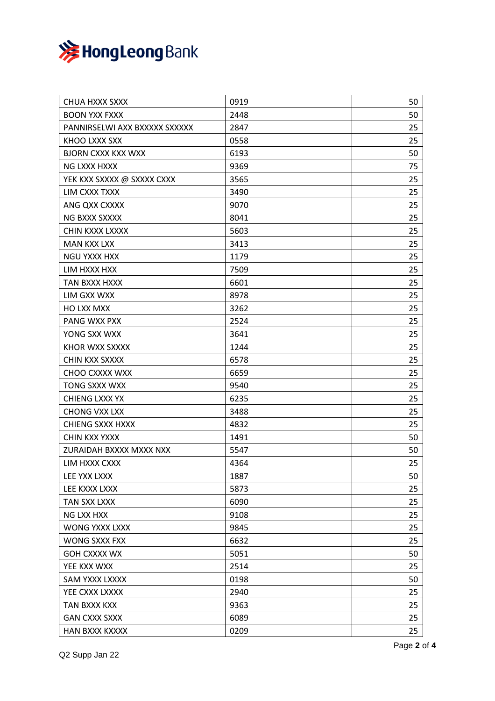

| CHUA HXXX SXXX                | 0919 | 50 |
|-------------------------------|------|----|
| <b>BOON YXX FXXX</b>          | 2448 | 50 |
| PANNIRSELWI AXX BXXXXX SXXXXX | 2847 | 25 |
| KHOO LXXX SXX                 | 0558 | 25 |
| <b>BJORN CXXX KXX WXX</b>     | 6193 | 50 |
| NG LXXX HXXX                  | 9369 | 75 |
| YEK KXX SXXXX @ SXXXX CXXX    | 3565 | 25 |
| LIM CXXX TXXX                 | 3490 | 25 |
| ANG QXX CXXXX                 | 9070 | 25 |
| NG BXXX SXXXX                 | 8041 | 25 |
| CHIN KXXX LXXXX               | 5603 | 25 |
| <b>MAN KXX LXX</b>            | 3413 | 25 |
| <b>NGU YXXX HXX</b>           | 1179 | 25 |
| LIM HXXX HXX                  | 7509 | 25 |
| TAN BXXX HXXX                 | 6601 | 25 |
| LIM GXX WXX                   | 8978 | 25 |
| <b>HO LXX MXX</b>             | 3262 | 25 |
| PANG WXX PXX                  | 2524 | 25 |
| YONG SXX WXX                  | 3641 | 25 |
| KHOR WXX SXXXX                | 1244 | 25 |
| CHIN KXX SXXXX                | 6578 | 25 |
| CHOO CXXXX WXX                | 6659 | 25 |
| <b>TONG SXXX WXX</b>          | 9540 | 25 |
| CHIENG LXXX YX                | 6235 | 25 |
| <b>CHONG VXX LXX</b>          | 3488 | 25 |
| <b>CHIENG SXXX HXXX</b>       | 4832 | 25 |
| CHIN KXX YXXX                 | 1491 | 50 |
| ZURAIDAH BXXXX MXXX NXX       | 5547 | 50 |
| LIM HXXX CXXX                 | 4364 | 25 |
| LEE YXX LXXX                  | 1887 | 50 |
| LEE KXXX LXXX                 | 5873 | 25 |
| TAN SXX LXXX                  | 6090 | 25 |
| NG LXX HXX                    | 9108 | 25 |
| WONG YXXX LXXX                | 9845 | 25 |
| WONG SXXX FXX                 | 6632 | 25 |
| <b>GOH CXXXX WX</b>           | 5051 | 50 |
| YEE KXX WXX                   | 2514 | 25 |
| SAM YXXX LXXXX                | 0198 | 50 |
| YEE CXXX LXXXX                | 2940 | 25 |
| TAN BXXX KXX                  | 9363 | 25 |
| <b>GAN CXXX SXXX</b>          | 6089 | 25 |
| <b>HAN BXXX KXXXX</b>         | 0209 | 25 |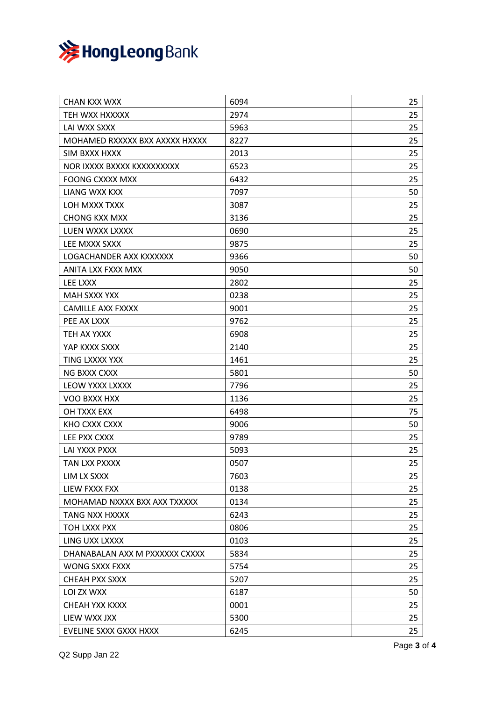

| <b>CHAN KXX WXX</b>            | 6094 | 25 |
|--------------------------------|------|----|
| TEH WXX HXXXXX                 | 2974 | 25 |
| LAI WXX SXXX                   | 5963 | 25 |
| MOHAMED RXXXXX BXX AXXXX HXXXX | 8227 | 25 |
| SIM BXXX HXXX                  | 2013 | 25 |
| NOR IXXXX BXXXX KXXXXXXXXX     | 6523 | 25 |
| <b>FOONG CXXXX MXX</b>         | 6432 | 25 |
| LIANG WXX KXX                  | 7097 | 50 |
| LOH MXXX TXXX                  | 3087 | 25 |
| <b>CHONG KXX MXX</b>           | 3136 | 25 |
| LUEN WXXX LXXXX                | 0690 | 25 |
| LEE MXXX SXXX                  | 9875 | 25 |
| LOGACHANDER AXX KXXXXXX        | 9366 | 50 |
| ANITA LXX FXXX MXX             | 9050 | 50 |
| LEE LXXX                       | 2802 | 25 |
| <b>MAH SXXX YXX</b>            | 0238 | 25 |
| <b>CAMILLE AXX FXXXX</b>       | 9001 | 25 |
| PEE AX LXXX                    | 9762 | 25 |
| TEH AX YXXX                    | 6908 | 25 |
| YAP KXXX SXXX                  | 2140 | 25 |
| TING LXXXX YXX                 | 1461 | 25 |
| <b>NG BXXX CXXX</b>            | 5801 | 50 |
| LEOW YXXX LXXXX                | 7796 | 25 |
| VOO BXXX HXX                   | 1136 | 25 |
| OH TXXX EXX                    | 6498 | 75 |
| KHO CXXX CXXX                  | 9006 | 50 |
| LEE PXX CXXX                   | 9789 | 25 |
| LAI YXXX PXXX                  | 5093 | 25 |
| TAN LXX PXXXX                  | 0507 | 25 |
| LIM LX SXXX                    | 7603 | 25 |
| LIEW FXXX FXX                  | 0138 | 25 |
| MOHAMAD NXXXX BXX AXX TXXXXX   | 0134 | 25 |
| TANG NXX HXXXX                 | 6243 | 25 |
| TOH LXXX PXX                   | 0806 | 25 |
| LING UXX LXXXX                 | 0103 | 25 |
| DHANABALAN AXX M PXXXXXX CXXXX | 5834 | 25 |
| WONG SXXX FXXX                 | 5754 | 25 |
| CHEAH PXX SXXX                 | 5207 | 25 |
| LOI ZX WXX                     | 6187 | 50 |
| CHEAH YXX KXXX                 | 0001 | 25 |
| LIEW WXX JXX                   | 5300 | 25 |
| EVELINE SXXX GXXX HXXX         | 6245 | 25 |